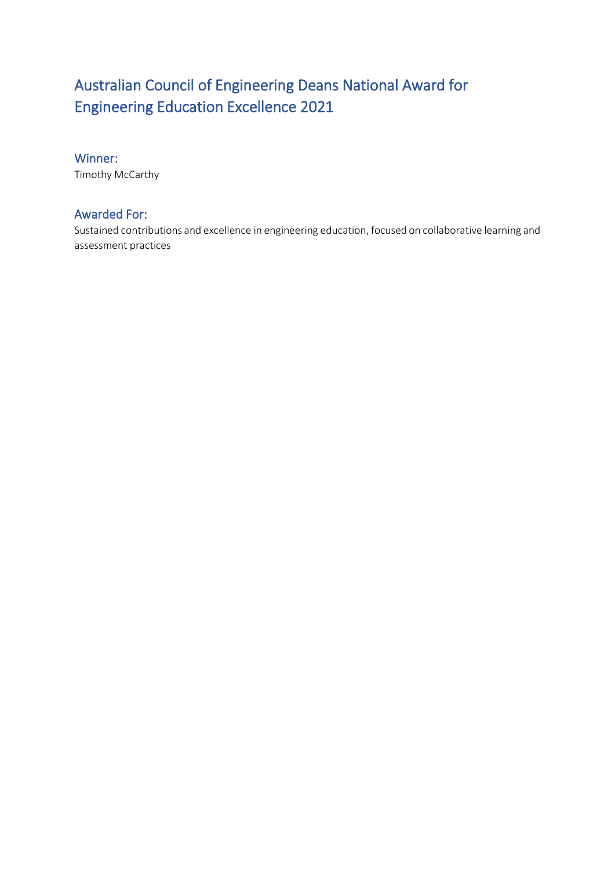# Australian Council of Engineering Deans National Award for Engineering Education Excellence 2021

## Winner:

Timothy McCarthy

# Awarded For:

Sustained contributions and excellence in engineering education, focused on collaborative learning and assessment practices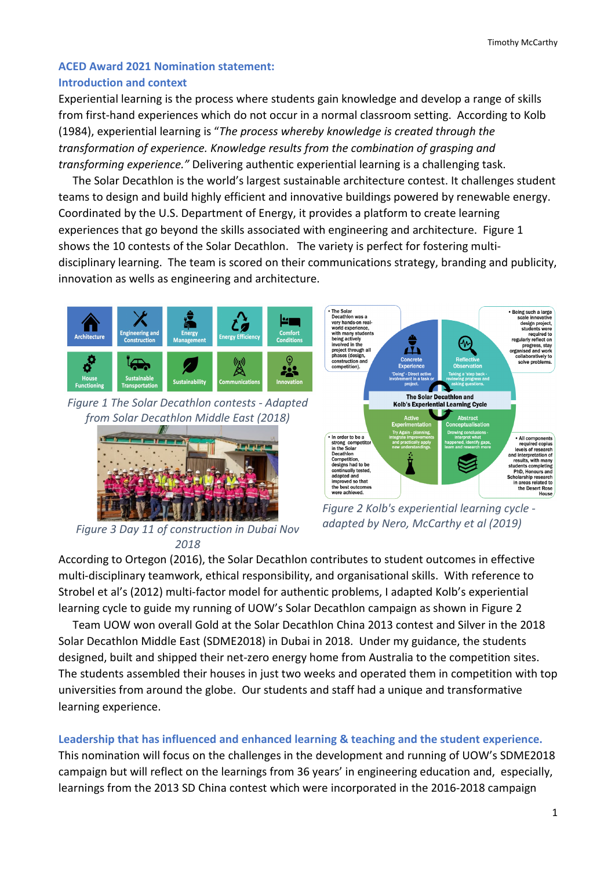# **ACED Award 2021 Nomination statement: Introduction and context**

Experiential learning is the process where students gain knowledge and develop a range of skills from first-hand experiences which do not occur in a normal classroom setting. According to Kolb (1984), experiential learning is "*The process whereby knowledge is created through the transformation of experience. Knowledge results from the combination of grasping and transforming experience."* Delivering authentic experiential learning is a challenging task.

 The Solar Decathlon is the world's largest sustainable architecture contest. It challenges student teams to design and build highly efficient and innovative buildings powered by renewable energy. Coordinated by the U.S. Department of Energy, it provides a platform to create learning experiences that go beyond the skills associated with engineering and architecture. Figure 1 shows the 10 contests of the Solar Decathlon. The variety is perfect for fostering multidisciplinary learning. The team is scored on their communications strategy, branding and publicity, innovation as wells as engineering and architecture.



*Figure 1 The Solar Decathlon contests - Adapted from Solar Decathlon Middle East (2018)*



*adapted by Nero, McCarthy et al (2019) Figure 3 Day 11 of construction in Dubai Nov 2018*



*Figure 2 Kolb's experiential learning cycle -*

According to Ortegon (2016), the Solar Decathlon contributes to student outcomes in effective multi-disciplinary teamwork, ethical responsibility, and organisational skills. With reference to Strobel et al's (2012) multi-factor model for authentic problems, I adapted Kolb's experiential learning cycle to guide my running of UOW's Solar Decathlon campaign as shown in Figure 2

 Team UOW won overall Gold at the Solar Decathlon China 2013 contest and Silver in the 2018 Solar Decathlon Middle East (SDME2018) in Dubai in 2018. Under my guidance, the students designed, built and shipped their net-zero energy home from Australia to the competition sites. The students assembled their houses in just two weeks and operated them in competition with top universities from around the globe. Our students and staff had a unique and transformative learning experience.

# **Leadership that has influenced and enhanced learning & teaching and the student experience.**

This nomination will focus on the challenges in the development and running of UOW's SDME2018 campaign but will reflect on the learnings from 36 years' in engineering education and, especially, learnings from the 2013 SD China contest which were incorporated in the 2016-2018 campaign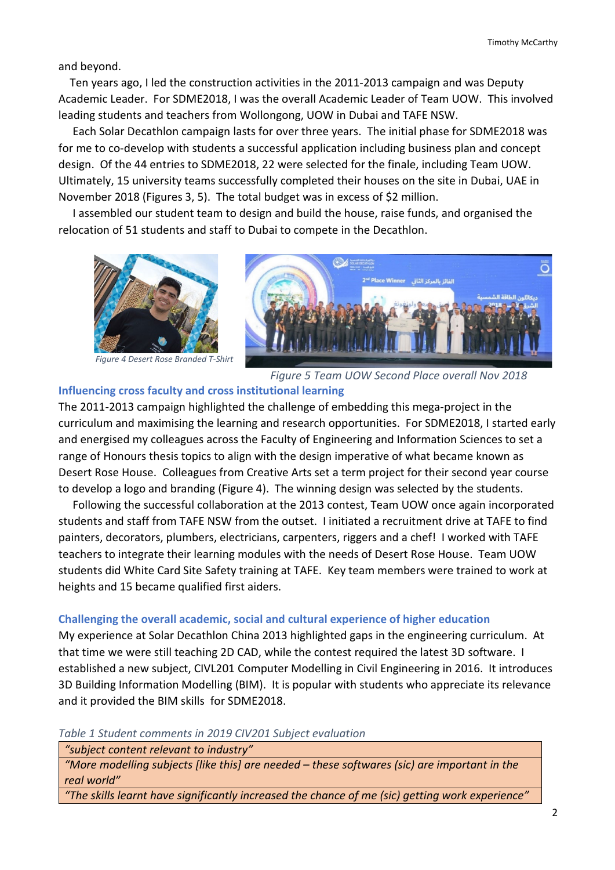and beyond.

 Ten years ago, I led the construction activities in the 2011-2013 campaign and was Deputy Academic Leader. For SDME2018, I was the overall Academic Leader of Team UOW. This involved leading students and teachers from Wollongong, UOW in Dubai and TAFE NSW.

 Each Solar Decathlon campaign lasts for over three years. The initial phase for SDME2018 was for me to co-develop with students a successful application including business plan and concept design. Of the 44 entries to SDME2018, 22 were selected for the finale, including Team UOW. Ultimately, 15 university teams successfully completed their houses on the site in Dubai, UAE in November 2018 (Figures 3, 5). The total budget was in excess of \$2 million.

 I assembled our student team to design and build the house, raise funds, and organised the relocation of 51 students and staff to Dubai to compete in the Decathlon.



*Figure 4 Desert Rose Branded T-Shirt*

*Figure 5 Team UOW Second Place overall Nov 2018*

#### **Influencing cross faculty and cross institutional learning**

The 2011-2013 campaign highlighted the challenge of embedding this mega-project in the curriculum and maximising the learning and research opportunities. For SDME2018, I started early and energised my colleagues across the Faculty of Engineering and Information Sciences to set a range of Honours thesis topics to align with the design imperative of what became known as Desert Rose House. Colleagues from Creative Arts set a term project for their second year course to develop a logo and branding (Figure 4). The winning design was selected by the students.

 Following the successful collaboration at the 2013 contest, Team UOW once again incorporated students and staff from TAFE NSW from the outset. I initiated a recruitment drive at TAFE to find painters, decorators, plumbers, electricians, carpenters, riggers and a chef! I worked with TAFE teachers to integrate their learning modules with the needs of Desert Rose House. Team UOW students did White Card Site Safety training at TAFE. Key team members were trained to work at heights and 15 became qualified first aiders.

#### **Challenging the overall academic, social and cultural experience of higher education**

My experience at Solar Decathlon China 2013 highlighted gaps in the engineering curriculum. At that time we were still teaching 2D CAD, while the contest required the latest 3D software. I established a new subject, CIVL201 Computer Modelling in Civil Engineering in 2016. It introduces 3D Building Information Modelling (BIM). It is popular with students who appreciate its relevance and it provided the BIM skills for SDME2018.

*Table 1 Student comments in 2019 CIV201 Subject evaluation*

*"subject content relevant to industry"*

*"More modelling subjects [like this] are needed – these softwares (sic) are important in the real world"*

*"The skills learnt have significantly increased the chance of me (sic) getting work experience"*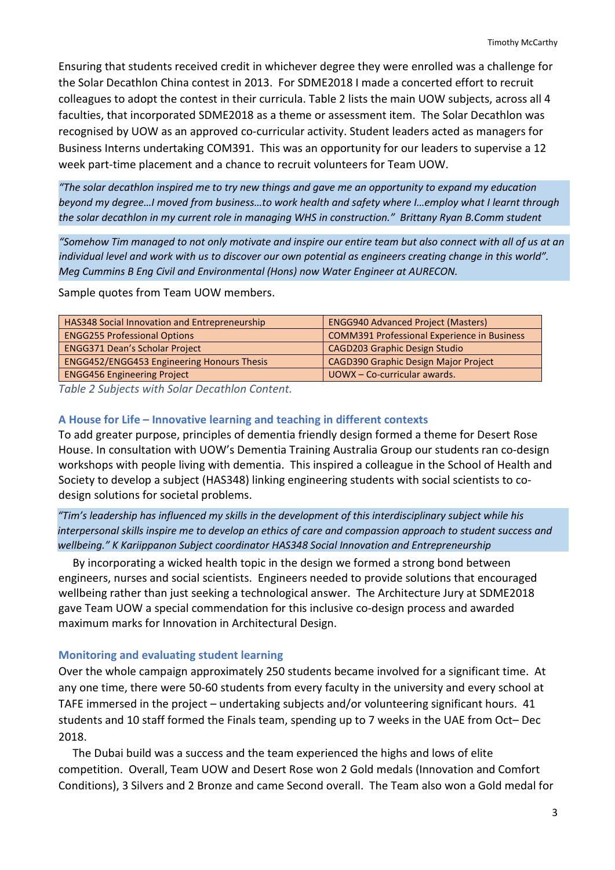Ensuring that students received credit in whichever degree they were enrolled was a challenge for the Solar Decathlon China contest in 2013. For SDME2018 I made a concerted effort to recruit colleagues to adopt the contest in their curricula. Table 2 lists the main UOW subjects, across all 4 faculties, that incorporated SDME2018 as a theme or assessment item. The Solar Decathlon was recognised by UOW as an approved co-curricular activity. Student leaders acted as managers for Business Interns undertaking COM391. This was an opportunity for our leaders to supervise a 12 week part-time placement and a chance to recruit volunteers for Team UOW.

*"The solar decathlon inspired me to try new things and gave me an opportunity to expand my education beyond my degree…I moved from business…to work health and safety where I…employ what I learnt through the solar decathlon in my current role in managing WHS in construction." Brittany Ryan B.Comm student*

*"Somehow Tim managed to not only motivate and inspire our entire team but also connect with all of us at an individual level and work with us to discover our own potential as engineers creating change in this world". Meg Cummins B Eng Civil and Environmental (Hons) now Water Engineer at AURECON.* 

Sample quotes from Team UOW members.

| <b>HAS348 Social Innovation and Entrepreneurship</b> | <b>ENGG940 Advanced Project (Masters)</b>          |
|------------------------------------------------------|----------------------------------------------------|
| <b>ENGG255 Professional Options</b>                  | <b>COMM391 Professional Experience in Business</b> |
| <b>ENGG371 Dean's Scholar Project</b>                | <b>CAGD203 Graphic Design Studio</b>               |
| <b>ENGG452/ENGG453 Engineering Honours Thesis</b>    | CAGD390 Graphic Design Major Project               |
| <b>ENGG456 Engineering Project</b>                   | UOWX - Co-curricular awards.                       |

*Table 2 Subjects with Solar Decathlon Content.*

## **A House for Life – Innovative learning and teaching in different contexts**

To add greater purpose, principles of dementia friendly design formed a theme for Desert Rose House. In consultation with UOW's Dementia Training Australia Group our students ran co-design workshops with people living with dementia. This inspired a colleague in the School of Health and Society to develop a subject (HAS348) linking engineering students with social scientists to codesign solutions for societal problems.

*"Tim's leadership has influenced my skills in the development of this interdisciplinary subject while his interpersonal skills inspire me to develop an ethics of care and compassion approach to student success and wellbeing." K Kariippanon Subject coordinator HAS348 Social Innovation and Entrepreneurship*

 By incorporating a wicked health topic in the design we formed a strong bond between engineers, nurses and social scientists. Engineers needed to provide solutions that encouraged wellbeing rather than just seeking a technological answer. The Architecture Jury at SDME2018 gave Team UOW a special commendation for this inclusive co-design process and awarded maximum marks for Innovation in Architectural Design.

#### **Monitoring and evaluating student learning**

Over the whole campaign approximately 250 students became involved for a significant time. At any one time, there were 50-60 students from every faculty in the university and every school at TAFE immersed in the project – undertaking subjects and/or volunteering significant hours. 41 students and 10 staff formed the Finals team, spending up to 7 weeks in the UAE from Oct– Dec 2018.

 The Dubai build was a success and the team experienced the highs and lows of elite competition. Overall, Team UOW and Desert Rose won 2 Gold medals (Innovation and Comfort Conditions), 3 Silvers and 2 Bronze and came Second overall. The Team also won a Gold medal for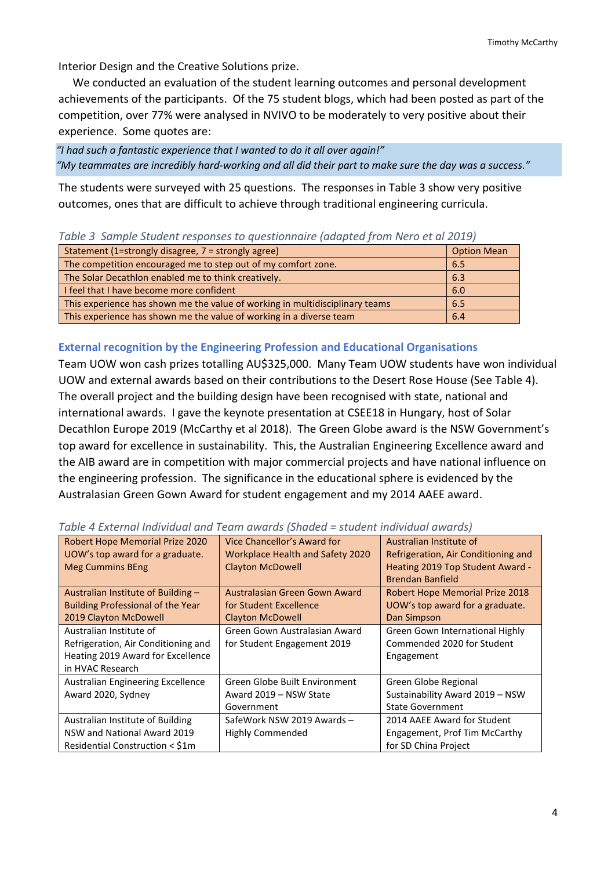Interior Design and the Creative Solutions prize.

 We conducted an evaluation of the student learning outcomes and personal development achievements of the participants. Of the 75 student blogs, which had been posted as part of the competition, over 77% were analysed in NVIVO to be moderately to very positive about their experience. Some quotes are:

*"I had such a fantastic experience that I wanted to do it all over again!" "My teammates are incredibly hard-working and all did their part to make sure the day was a success."*

The students were surveyed with 25 questions. The responses in Table 3 show very positive outcomes, ones that are difficult to achieve through traditional engineering curricula.

| Table 5 Sample Staatheresponses to gatstromant fuadpital from Nero et al 2019). |                    |  |
|---------------------------------------------------------------------------------|--------------------|--|
| Statement (1=strongly disagree, 7 = strongly agree)                             | <b>Option Mean</b> |  |
| The competition encouraged me to step out of my comfort zone.                   | 6.5                |  |
| The Solar Decathlon enabled me to think creatively.                             | 6.3                |  |
| I feel that I have become more confident                                        | 6.0                |  |
| This experience has shown me the value of working in multidisciplinary teams    | 6.5                |  |
| This experience has shown me the value of working in a diverse team             | 6.4                |  |

#### *Table 3 Sample Student responses to questionnaire (adapted from Nero et al 2019)*

## **External recognition by the Engineering Profession and Educational Organisations**

Team UOW won cash prizes totalling AU\$325,000. Many Team UOW students have won individual UOW and external awards based on their contributions to the Desert Rose House (See Table 4). The overall project and the building design have been recognised with state, national and international awards. I gave the keynote presentation at CSEE18 in Hungary, host of Solar Decathlon Europe 2019 (McCarthy et al 2018). The Green Globe award is the NSW Government's top award for excellence in sustainability. This, the Australian Engineering Excellence award and the AIB award are in competition with major commercial projects and have national influence on the engineering profession. The significance in the educational sphere is evidenced by the Australasian Green Gown Award for student engagement and my 2014 AAEE award.

| Robert Hope Memorial Prize 2020          | Vice Chancellor's Award for      | Australian Institute of             |
|------------------------------------------|----------------------------------|-------------------------------------|
| UOW's top award for a graduate.          | Workplace Health and Safety 2020 | Refrigeration, Air Conditioning and |
| <b>Meg Cummins BEng</b>                  | <b>Clayton McDowell</b>          | Heating 2019 Top Student Award -    |
|                                          |                                  | <b>Brendan Banfield</b>             |
| Australian Institute of Building -       | Australasian Green Gown Award    | Robert Hope Memorial Prize 2018     |
| <b>Building Professional of the Year</b> | for Student Excellence           | UOW's top award for a graduate.     |
| 2019 Clayton McDowell                    | <b>Clayton McDowell</b>          | Dan Simpson                         |
| Australian Institute of                  | Green Gown Australasian Award    | Green Gown International Highly     |
| Refrigeration, Air Conditioning and      | for Student Engagement 2019      | Commended 2020 for Student          |
| Heating 2019 Award for Excellence        |                                  | Engagement                          |
| in HVAC Research                         |                                  |                                     |
| Australian Engineering Excellence        | Green Globe Built Environment    | Green Globe Regional                |
| Award 2020, Sydney                       | Award 2019 - NSW State           | Sustainability Award 2019 - NSW     |
|                                          | Government                       | <b>State Government</b>             |
| Australian Institute of Building         | SafeWork NSW 2019 Awards -       | 2014 AAEE Award for Student         |
| NSW and National Award 2019              | Highly Commended                 | Engagement, Prof Tim McCarthy       |
| Residential Construction < \$1m          |                                  | for SD China Project                |

*Table 4 External Individual and Team awards (Shaded = student individual awards)*